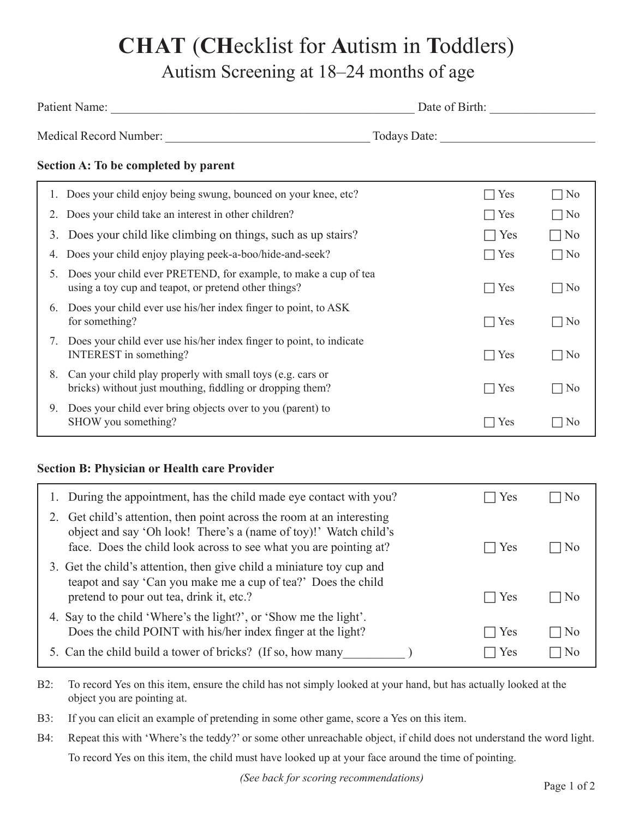# **CHAT** (**CH**ecklist for **A**utism in **T**oddlers) Autism Screening at 18–24 months of age

|    |                                                                                                                                                                                                                 | Date of Birth: |                |  |
|----|-----------------------------------------------------------------------------------------------------------------------------------------------------------------------------------------------------------------|----------------|----------------|--|
|    |                                                                                                                                                                                                                 |                |                |  |
|    | Section A: To be completed by parent                                                                                                                                                                            |                |                |  |
|    | 1. Does your child enjoy being swung, bounced on your knee, etc?                                                                                                                                                | Yes            | $\Box$ No      |  |
| 2. | Does your child take an interest in other children?                                                                                                                                                             | $\Box$ Yes     | $\Box$ No      |  |
| 3. | Does your child like climbing on things, such as up stairs?                                                                                                                                                     | $\bigcap$ Yes  | $\neg$ No      |  |
| 4. | Does your child enjoy playing peek-a-boo/hide-and-seek?                                                                                                                                                         | $\Box$ Yes     | $\Box$ No      |  |
| 5. | Does your child ever PRETEND, for example, to make a cup of tea<br>using a toy cup and teapot, or pretend other things?                                                                                         | $\Box$ Yes     | $\Box$ No      |  |
| 6. | Does your child ever use his/her index finger to point, to ASK<br>for something?                                                                                                                                | $\Box$ Yes     | $\Box$ No      |  |
|    | 7. Does your child ever use his/her index finger to point, to indicate<br><b>INTEREST</b> in something?                                                                                                         | $\Box$ Yes     | $\Box$ No      |  |
| 8. | Can your child play properly with small toys (e.g. cars or<br>bricks) without just mouthing, fiddling or dropping them?                                                                                         | $\Box$ Yes     | $\Box$ No      |  |
| 9. | Does your child ever bring objects over to you (parent) to<br>SHOW you something?                                                                                                                               | $\Box$ Yes     | $\Box$ No      |  |
|    | <b>Section B: Physician or Health care Provider</b>                                                                                                                                                             |                |                |  |
| 1. | During the appointment, has the child made eye contact with you?                                                                                                                                                | Yes            | N <sub>0</sub> |  |
|    | 2. Get child's attention, then point across the room at an interesting<br>object and say 'Oh look! There's a (name of toy)!' Watch child's<br>face. Does the child look across to see what you are pointing at? | Yes            | N <sub>0</sub> |  |

| 3. Get the child's attention, then give child a miniature toy cup and |            |           |
|-----------------------------------------------------------------------|------------|-----------|
| teapot and say 'Can you make me a cup of tea?' Does the child         |            |           |
| pretend to pour out tea, drink it, etc.?                              | $\Box$ Yes | $\Box$ No |
| 4 Say to the child 'Where's the light?' or 'Show me the light'        |            |           |

| 4. Say to the child 'Where's the light?', or 'Show me the light'. |            |           |
|-------------------------------------------------------------------|------------|-----------|
| Does the child POINT with his/her index finger at the light?      | $\Box$ Yes | $\Box$ No |
| 5. Can the child build a tower of bricks? (If so, how many        | $\Box$ Yes | $\Box$ No |

- B2: To record Yes on this item, ensure the child has not simply looked at your hand, but has actually looked at the object you are pointing at.
- B3: If you can elicit an example of pretending in some other game, score a Yes on this item.
- B4: Repeat this with 'Where's the teddy?' or some other unreachable object, if child does not understand the word light. To record Yes on this item, the child must have looked up at your face around the time of pointing.